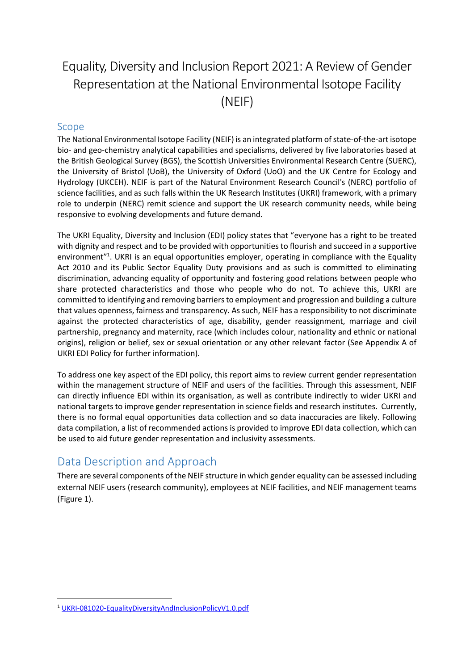# Equality, Diversity and Inclusion Report 2021: A Review of Gender Representation at the National Environmental Isotope Facility (NEIF)

### Scope

The National Environmental Isotope Facility (NEIF) is an integrated platform of state‐of‐the‐art isotope bio- and geo-chemistry analytical capabilities and specialisms, delivered by five laboratories based at the British Geological Survey (BGS), the Scottish Universities Environmental Research Centre (SUERC), the University of Bristol (UoB), the University of Oxford (UoO) and the UK Centre for Ecology and Hydrology (UKCEH). NEIF is part of the Natural Environment Research Council's (NERC) portfolio of science facilities, and as such falls within the UK Research Institutes (UKRI) framework, with a primary role to underpin (NERC) remit science and support the UK research community needs, while being responsive to evolving developments and future demand.

The UKRI Equality, Diversity and Inclusion (EDI) policy states that "everyone has a right to be treated with dignity and respect and to be provided with opportunities to flourish and succeed in a supportive environment"<sup>1</sup>. UKRI is an equal opportunities employer, operating in compliance with the Equality Act 2010 and its Public Sector Equality Duty provisions and as such is committed to eliminating discrimination, advancing equality of opportunity and fostering good relations between people who share protected characteristics and those who people who do not. To achieve this, UKRI are committed to identifying and removing barriers to employment and progression and building a culture that values openness, fairness and transparency. As such, NEIF has a responsibility to not discriminate against the protected characteristics of age, disability, gender reassignment, marriage and civil partnership, pregnancy and maternity, race (which includes colour, nationality and ethnic or national origins), religion or belief, sex or sexual orientation or any other relevant factor (See Appendix A of UKRI EDI Policy for further information).

To address one key aspect of the EDI policy, this report aims to review current gender representation within the management structure of NEIF and users of the facilities. Through this assessment, NEIF can directly influence EDI within its organisation, as well as contribute indirectly to wider UKRI and national targets to improve gender representation in science fields and research institutes. Currently, there is no formal equal opportunities data collection and so data inaccuracies are likely. Following data compilation, a list of recommended actions is provided to improve EDI data collection, which can be used to aid future gender representation and inclusivity assessments.

## Data Description and Approach

There are several components of the NEIF structure in which gender equality can be assessed including external NEIF users (research community), employees at NEIF facilities, and NEIF management teams [\(Figure 1\)](#page-1-0).

**.** 

<sup>1</sup> [UKRI-081020-EqualityDiversityAndInclusionPolicyV1.0.pdf](https://www.ukri.org/wp-content/uploads/2020/10/UKRI-081020-EqualityDiversityAndInclusionPolicyV1.0.pdf)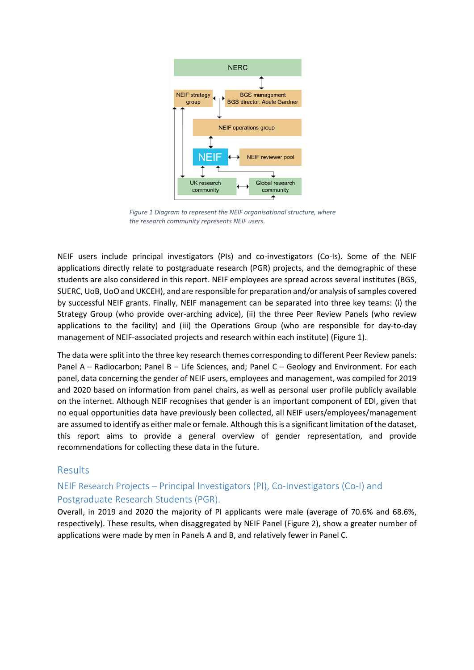

<span id="page-1-0"></span>*Figure 1 Diagram to represent the NEIF organisational structure, where the research community represents NEIF users.*

NEIF users include principal investigators (PIs) and co-investigators (Co-Is). Some of the NEIF applications directly relate to postgraduate research (PGR) projects, and the demographic of these students are also considered in this report. NEIF employees are spread across several institutes (BGS, SUERC, UoB, UoO and UKCEH), and are responsible for preparation and/or analysis of samples covered by successful NEIF grants. Finally, NEIF management can be separated into three key teams: (i) the Strategy Group (who provide over-arching advice), (ii) the three Peer Review Panels (who review applications to the facility) and (iii) the Operations Group (who are responsible for day-to-day management of NEIF-associated projects and research within each institute) [\(Figure 1\)](#page-1-0).

The data were split into the three key research themes corresponding to different Peer Review panels: Panel A – Radiocarbon; Panel B – Life Sciences, and; Panel C – Geology and Environment. For each panel, data concerning the gender of NEIF users, employees and management, was compiled for 2019 and 2020 based on information from panel chairs, as well as personal user profile publicly available on the internet. Although NEIF recognises that gender is an important component of EDI, given that no equal opportunities data have previously been collected, all NEIF users/employees/management are assumed to identify as either male or female. Although this is a significant limitation of the dataset, this report aims to provide a general overview of gender representation, and provide recommendations for collecting these data in the future.

#### Results

## NEIF Research Projects – Principal Investigators (PI), Co-Investigators (Co-I) and Postgraduate Research Students (PGR).

Overall, in 2019 and 2020 the majority of PI applicants were male (average of 70.6% and 68.6%, respectively). These results, when disaggregated by NEIF Panel [\(Figure 2\)](#page-2-0), show a greater number of applications were made by men in Panels A and B, and relatively fewer in Panel C.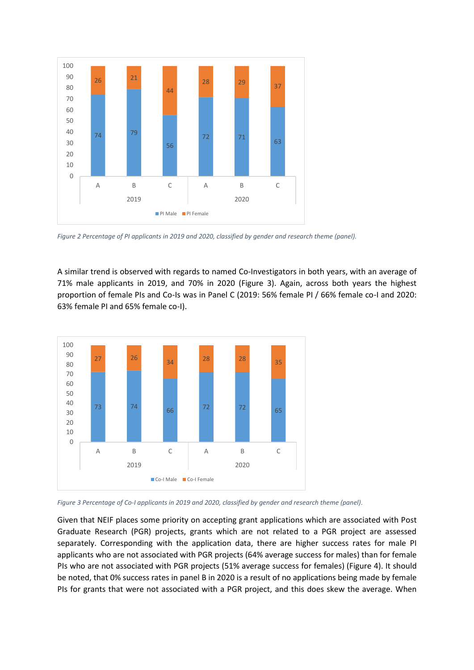

<span id="page-2-0"></span>*Figure 2 Percentage of PI applicants in 2019 and 2020, classified by gender and research theme (panel).*

A similar trend is observed with regards to named Co-Investigators in both years, with an average of 71% male applicants in 2019, and 70% in 2020 [\(Figure 3\)](#page-2-1). Again, across both years the highest proportion of female PIs and Co-Is was in Panel C (2019: 56% female PI / 66% female co-I and 2020: 63% female PI and 65% female co-I).



<span id="page-2-1"></span>*Figure 3 Percentage of Co-I applicants in 2019 and 2020, classified by gender and research theme (panel).*

Given that NEIF places some priority on accepting grant applications which are associated with Post Graduate Research (PGR) projects, grants which are not related to a PGR project are assessed separately. Corresponding with the application data, there are higher success rates for male PI applicants who are not associated with PGR projects (64% average success for males) than for female PIs who are not associated with PGR projects (51% average success for females) [\(Figure 4\)](#page-3-0). It should be noted, that 0% success rates in panel B in 2020 is a result of no applications being made by female PIs for grants that were not associated with a PGR project, and this does skew the average. When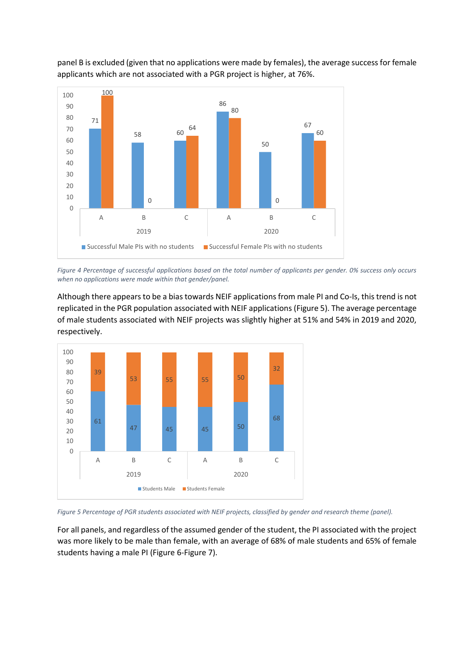

panel B is excluded (given that no applications were made by females), the average success for female applicants which are not associated with a PGR project is higher, at 76%.

<span id="page-3-0"></span>*Figure 4 Percentage of successful applications based on the total number of applicants per gender. 0% success only occurs when no applications were made within that gender/panel.*

Although there appears to be a bias towards NEIF applications from male PI and Co-Is, this trend is not replicated in the PGR population associated with NEIF applications [\(Figure 5\)](#page-3-1). The average percentage of male students associated with NEIF projects was slightly higher at 51% and 54% in 2019 and 2020, respectively.



<span id="page-3-1"></span>*Figure 5 Percentage of PGR students associated with NEIF projects, classified by gender and research theme (panel).*

For all panels, and regardless of the assumed gender of the student, the PI associated with the project was more likely to be male than female, with an average of 68% of male students and 65% of female students having a male PI [\(Figure 6](#page-4-0)[-Figure 7\)](#page-4-1).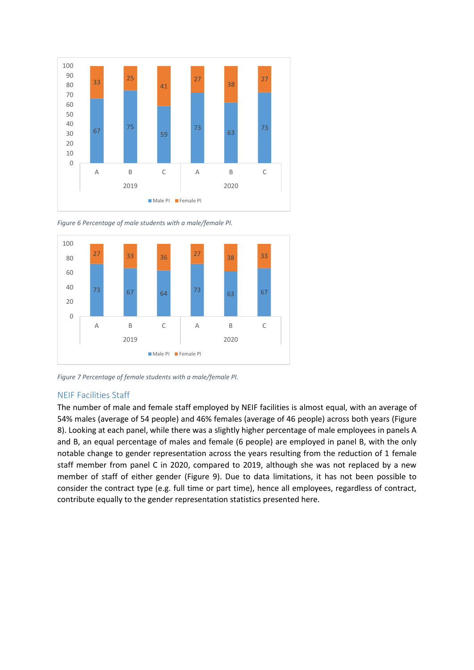

<span id="page-4-0"></span>*Figure 6 Percentage of male students with a male/female PI.*



<span id="page-4-1"></span>*Figure 7 Percentage of female students with a male/female PI.*

#### NEIF Facilities Staff

The number of male and female staff employed by NEIF facilities is almost equal, with an average of 54% males (average of 54 people) and 46% females (average of 46 people) across both years [\(Figure](#page-5-0)  [8\)](#page-5-0). Looking at each panel, while there was a slightly higher percentage of male employees in panels A and B, an equal percentage of males and female (6 people) are employed in panel B, with the only notable change to gender representation across the years resulting from the reduction of 1 female staff member from panel C in 2020, compared to 2019, although she was not replaced by a new member of staff of either gender [\(Figure 9\)](#page-5-1). Due to data limitations, it has not been possible to consider the contract type (e.g. full time or part time), hence all employees, regardless of contract, contribute equally to the gender representation statistics presented here.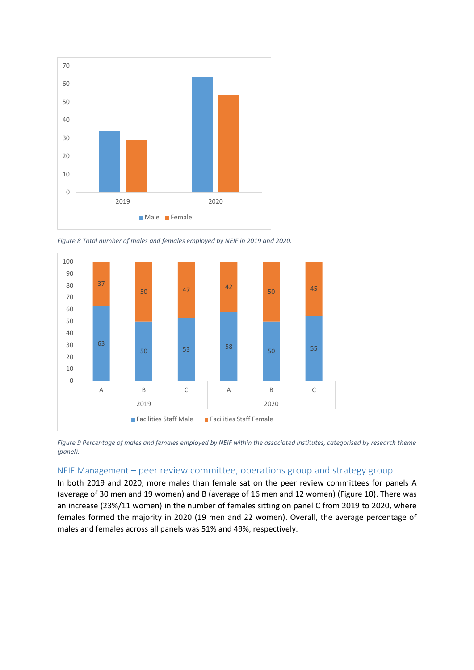

<span id="page-5-0"></span>*Figure 8 Total number of males and females employed by NEIF in 2019 and 2020.*



<span id="page-5-1"></span>*Figure 9 Percentage of males and females employed by NEIF within the associated institutes, categorised by research theme (panel).*

#### NEIF Management – peer review committee, operations group and strategy group

In both 2019 and 2020, more males than female sat on the peer review committees for panels A (average of 30 men and 19 women) and B (average of 16 men and 12 women) [\(Figure 10\)](#page-6-0). There was an increase (23%/11 women) in the number of females sitting on panel C from 2019 to 2020, where females formed the majority in 2020 (19 men and 22 women). Overall, the average percentage of males and females across all panels was 51% and 49%, respectively.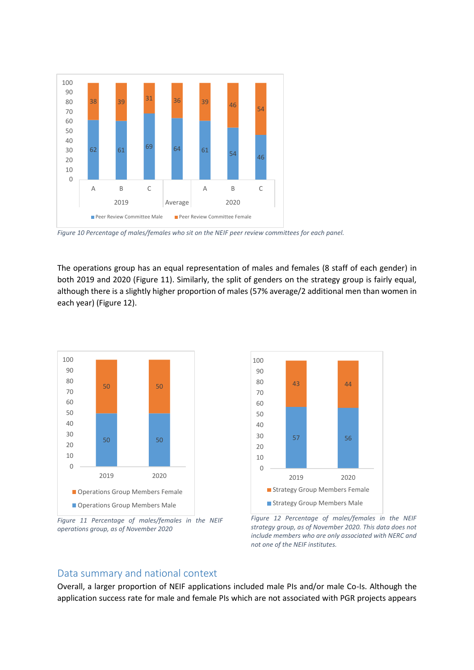

<span id="page-6-0"></span>*Figure 10 Percentage of males/females who sit on the NEIF peer review committees for each panel.*

The operations group has an equal representation of males and females (8 staff of each gender) in both 2019 and 2020 [\(Figure 11\)](#page-6-1). Similarly, the split of genders on the strategy group is fairly equal, although there is a slightly higher proportion of males (57% average/2 additional men than women in each year) [\(Figure 12\)](#page-6-2).



<span id="page-6-1"></span>*Figure 11 Percentage of males/females in the NEIF operations group, as of November 2020*



<span id="page-6-2"></span>*Figure 12 Percentage of males/females in the NEIF strategy group, as of November 2020. This data does not include members who are only associated with NERC and not one of the NEIF institutes.*

#### Data summary and national context

Overall, a larger proportion of NEIF applications included male PIs and/or male Co-Is. Although the application success rate for male and female PIs which are not associated with PGR projects appears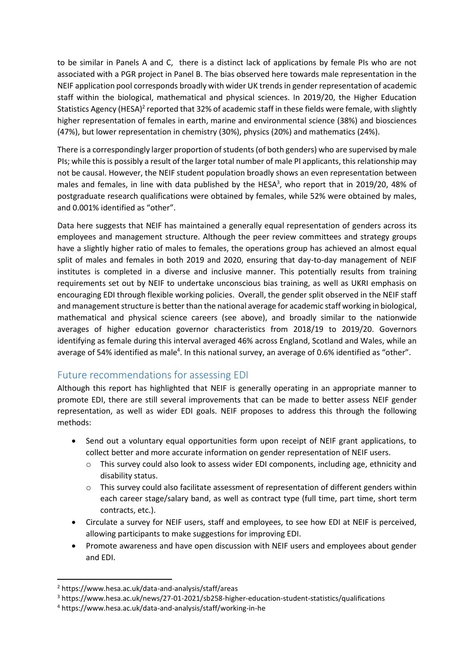to be similar in Panels A and C, there is a distinct lack of applications by female PIs who are not associated with a PGR project in Panel B. The bias observed here towards male representation in the NEIF application pool corresponds broadly with wider UK trends in gender representation of academic staff within the biological, mathematical and physical sciences. In 2019/20, the Higher Education Statistics Agency (HESA)<sup>2</sup> reported that 32% of academic staff in these fields were female, with slightly higher representation of females in earth, marine and environmental science (38%) and biosciences (47%), but lower representation in chemistry (30%), physics (20%) and mathematics (24%).

There is a correspondingly larger proportion of students (of both genders) who are supervised by male PIs; while this is possibly a result of the larger total number of male PI applicants, this relationship may not be causal. However, the NEIF student population broadly shows an even representation between males and females, in line with data published by the HESA<sup>3</sup>, who report that in 2019/20, 48% of postgraduate research qualifications were obtained by females, while 52% were obtained by males, and 0.001% identified as "other".

Data here suggests that NEIF has maintained a generally equal representation of genders across its employees and management structure. Although the peer review committees and strategy groups have a slightly higher ratio of males to females, the operations group has achieved an almost equal split of males and females in both 2019 and 2020, ensuring that day-to-day management of NEIF institutes is completed in a diverse and inclusive manner. This potentially results from training requirements set out by NEIF to undertake unconscious bias training, as well as UKRI emphasis on encouraging EDI through flexible working policies. Overall, the gender split observed in the NEIF staff and management structure is better than the national average for academic staff working in biological, mathematical and physical science careers (see above), and broadly similar to the nationwide averages of higher education governor characteristics from 2018/19 to 2019/20. Governors identifying as female during this interval averaged 46% across England, Scotland and Wales, while an average of 54% identified as male<sup>4</sup>. In this national survey, an average of 0.6% identified as "other".

## Future recommendations for assessing EDI

Although this report has highlighted that NEIF is generally operating in an appropriate manner to promote EDI, there are still several improvements that can be made to better assess NEIF gender representation, as well as wider EDI goals. NEIF proposes to address this through the following methods:

- Send out a voluntary equal opportunities form upon receipt of NEIF grant applications, to collect better and more accurate information on gender representation of NEIF users.
	- o This survey could also look to assess wider EDI components, including age, ethnicity and disability status.
	- $\circ$  This survey could also facilitate assessment of representation of different genders within each career stage/salary band, as well as contract type (full time, part time, short term contracts, etc.).
- Circulate a survey for NEIF users, staff and employees, to see how EDI at NEIF is perceived, allowing participants to make suggestions for improving EDI.
- Promote awareness and have open discussion with NEIF users and employees about gender and EDI.

**.** 

<sup>2</sup> https://www.hesa.ac.uk/data-and-analysis/staff/areas

<sup>3</sup> https://www.hesa.ac.uk/news/27-01-2021/sb258-higher-education-student-statistics/qualifications

<sup>4</sup> https://www.hesa.ac.uk/data-and-analysis/staff/working-in-he